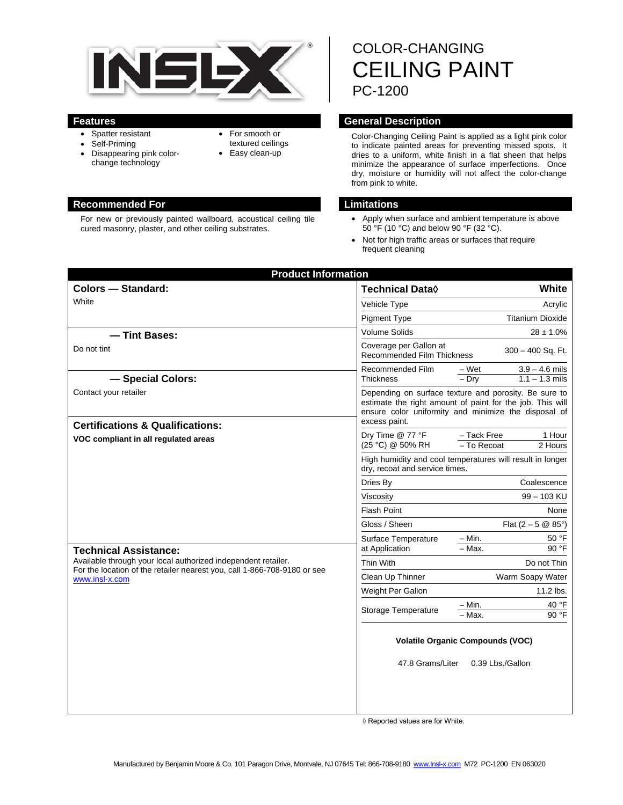

- Spatter resistant
- Self-Priming
- Disappearing pink colorchange technology
- For smooth or
- textured ceilings • Easy clean-up
- 

#### **Recommended For Limitations**

For new or previously painted wallboard, acoustical ceiling tile cured masonry, plaster, and other ceiling substrates.

COLOR-CHANGING CEILING PAINT PC-1200

## **Features General Description**

Color-Changing Ceiling Paint is applied as a light pink color to indicate painted areas for preventing missed spots. It dries to a uniform, white finish in a flat sheen that helps minimize the appearance of surface imperfections. Once dry, moisture or humidity will not affect the color-change from pink to white.

- Apply when surface and ambient temperature is above 50 °F (10 °C) and below 90 °F (32 °C).
- Not for high traffic areas or surfaces that require frequent cleaning

| White<br><b>Technical Data</b> ♦                                                                                                                                                            |
|---------------------------------------------------------------------------------------------------------------------------------------------------------------------------------------------|
|                                                                                                                                                                                             |
| Vehicle Type<br>Acrylic                                                                                                                                                                     |
| <b>Pigment Type</b><br><b>Titanium Dioxide</b>                                                                                                                                              |
| Volume Solids<br>$28 \pm 1.0\%$                                                                                                                                                             |
| Coverage per Gallon at<br>300 - 400 Sq. Ft.<br><b>Recommended Film Thickness</b>                                                                                                            |
| $3.9 - 4.6$ mils<br>Recommended Film<br>– Wet                                                                                                                                               |
| $-$ Dry<br>$1.1 - 1.3$ mils<br><b>Thickness</b>                                                                                                                                             |
| Depending on surface texture and porosity. Be sure to<br>estimate the right amount of paint for the job. This will<br>ensure color uniformity and minimize the disposal of<br>excess paint. |
| - Tack Free<br>1 Hour<br>Dry Time @ 77 °F<br>(25 °C) @ 50% RH<br>- To Recoat<br>2 Hours                                                                                                     |
| High humidity and cool temperatures will result in longer<br>dry, recoat and service times.                                                                                                 |
| Coalescence<br>Dries By                                                                                                                                                                     |
| 99 - 103 KU<br>Viscosity                                                                                                                                                                    |
| <b>Flash Point</b><br>None                                                                                                                                                                  |
| Gloss / Sheen<br>Flat $(2 - 5 \& 85^{\circ})$                                                                                                                                               |
| 50 °F<br>$-$ Min.<br>Surface Temperature<br>$-\overline{Max}$ .<br>90 °F<br>at Application                                                                                                  |
| Thin With<br>Do not Thin                                                                                                                                                                    |
| Warm Soapy Water<br>Clean Up Thinner                                                                                                                                                        |
| Weight Per Gallon<br>11.2 lbs.                                                                                                                                                              |
| $-$ Min.<br>40 °F<br>Storage Temperature<br>90 °F<br>- Max.                                                                                                                                 |
| <b>Volatile Organic Compounds (VOC)</b><br>47.8 Grams/Liter<br>0.39 Lbs./Gallon                                                                                                             |
|                                                                                                                                                                                             |

◊ Reported values are for White.